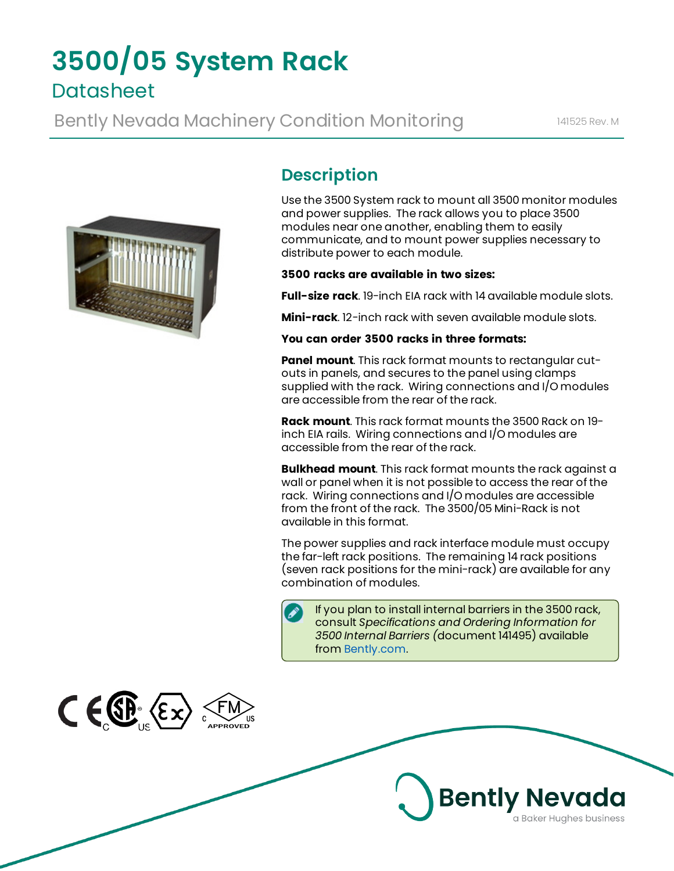# **3500/05 System Rack Datasheet**

Bently Nevada Machinery Condition Monitoring 141525 Rev. M



 $C \in \mathbb{CP}$   $(\epsilon \times)$ 

# **Description**

Use the 3500 System rack to mount all 3500 monitor modules and power supplies. The rack allows you to place 3500 modules near one another, enabling them to easily communicate, and to mount power supplies necessary to distribute power to each module.

#### **3500 racks are available in two sizes:**

**Full-size rack**. 19-inch EIA rack with 14 available module slots.

**Mini-rack**. 12-inch rack with seven available module slots.

#### **You can order 3500 racks in three formats:**

**Panel mount**. This rack format mounts to rectangular cutouts in panels, and secures to the panel using clamps supplied with the rack. Wiring connections and I/O modules are accessible from the rear of the rack.

**Rack mount**. This rack format mounts the 3500 Rack on 19 inch EIA rails. Wiring connections and I/O modules are accessible from the rear of the rack.

**Bulkhead mount**. This rack format mounts the rack against a wall or panel when it is not possible to access the rear of the rack. Wiring connections and I/O modules are accessible from the front of the rack. The 3500/05 Mini-Rack is not available in this format.

The power supplies and rack interface module must occupy the far-left rack positions. The remaining 14 rack positions (seven rack positions for the mini-rack) are available for any combination of modules.



If you plan to install internal barriers in the 3500 rack, consult *Specifications and Ordering Information for 3500 Internal Barriers (*document 141495) available from [Bently.com](http://www.bently.com/).

**Bently Nevada** 

a Baker Hughes business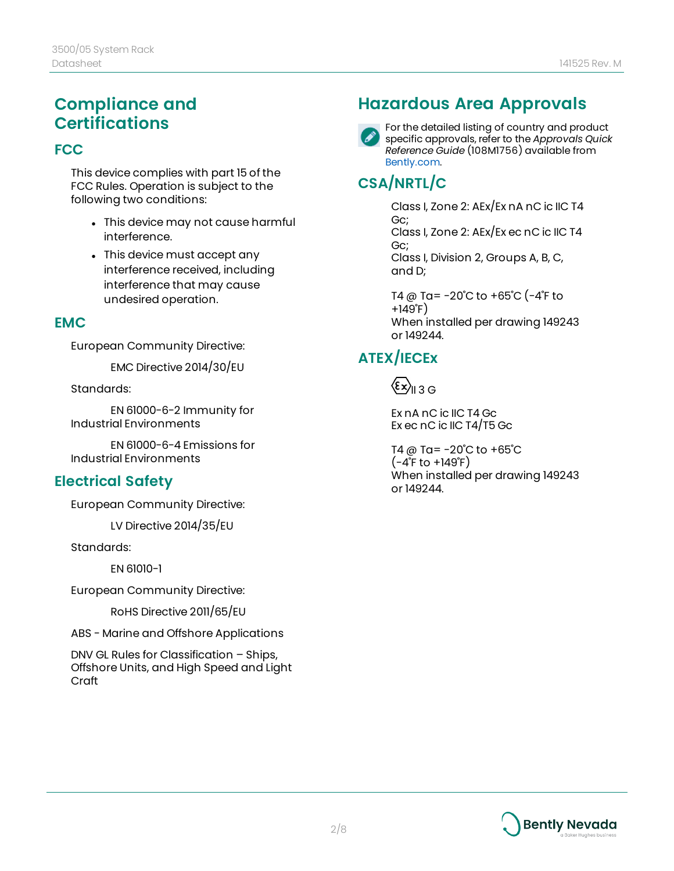### **Compliance and Certifications**

#### **FCC**

This device complies with part 15 of the FCC Rules. Operation is subject to the following two conditions:

- This device may not cause harmful interference.
- This device must accept any interference received, including interference that may cause undesired operation.

#### **EMC**

European Community Directive:

EMC Directive 2014/30/EU

Standards:

EN 61000-6-2 Immunity for Industrial Environments

EN 61000-6-4 Emissions for Industrial Environments

### **Electrical Safety**

European Community Directive:

LV Directive 2014/35/EU

Standards:

EN 61010-1

European Community Directive:

RoHS Directive 2011/65/EU

ABS - Marine and Offshore Applications

DNV GL Rules for Classification – Ships, Offshore Units, and High Speed and Light Craft

### **Hazardous Area Approvals**



For the detailed listing of country and product specific approvals, refer to the *Approvals Quick Reference Guide* (108M1756) available from [Bently.com.](http://www.bently.com/)

### **CSA/NRTL/C**

Class I, Zone 2: AEx/Ex nA nC ic IIC T4 Gc; Class I, Zone 2: AEx/Ex ec nC ic IIC T4 Gc; Class I, Division 2, Groups A, B, C, and D;

T4 @ Ta= -20˚C to +65˚C (-4˚F to +149˚F) When installed per drawing 149243 or 149244.

### **ATEX/IECEx**

 $\langle \epsilon x \rangle_{\text{II} 3 \text{G}}$ 

Ex nA nC ic IIC T4 Gc Ex ec nC ic IIC T4/T5 Gc

T4 @ Ta= $-20^{\circ}$ C to  $+65^{\circ}$ C  $(-4^{\circ}$ F to  $+149^{\circ}$ F) When installed per drawing 149243 or 149244.

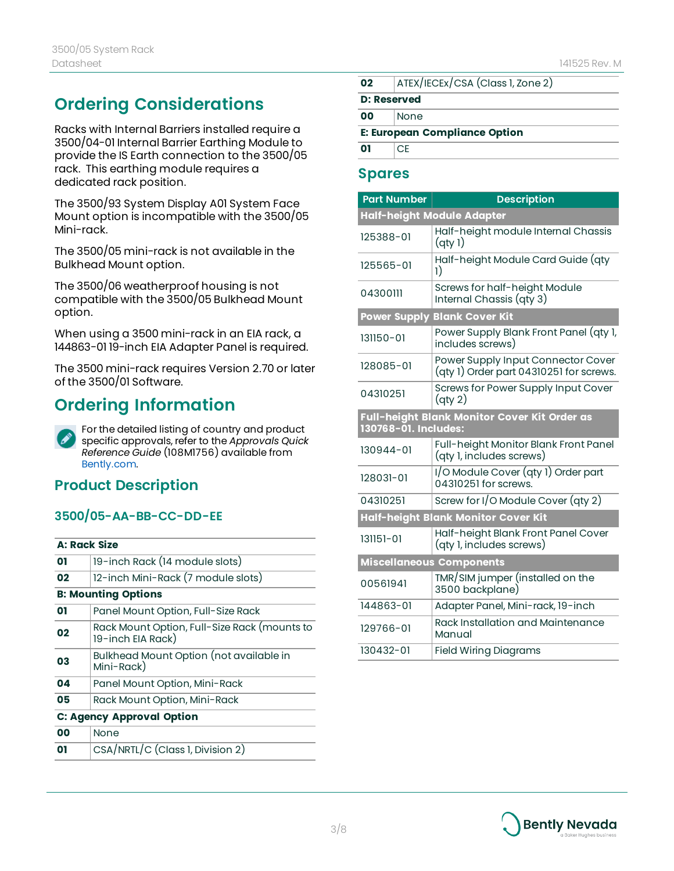# **Ordering Considerations**

Racks with Internal Barriers installed require a 3500/04-01 Internal Barrier Earthing Module to provide the IS Earth connection to the 3500/05 rack. This earthing module requires a dedicated rack position.

The 3500/93 System Display A01 System Face Mount option is incompatible with the 3500/05 Mini-rack.

The 3500/05 mini-rack is not available in the Bulkhead Mount option.

The 3500/06 weatherproof housing is not compatible with the 3500/05 Bulkhead Mount option.

When using a 3500 mini-rack in an EIA rack, a 144863-01 19-inch EIA Adapter Panel is required.

The 3500 mini-rack requires Version 2.70 or later of the 3500/01 Software.

# **Ordering Information**

For the detailed listing of country and product  $\mathscr{S}$ specific approvals, refer to the *Approvals Quick Reference Guide* (108M1756) available from [Bently.com.](http://www.bently.com/)

### **Product Description**

#### **3500/05-AA-BB-CC-DD-EE**

|    | <b>A: Rack Size</b>                                               |
|----|-------------------------------------------------------------------|
| 01 | 19-inch Rack (14 module slots)                                    |
| 02 | 12-inch Mini-Rack (7 module slots)                                |
|    | <b>B: Mounting Options</b>                                        |
| 01 | Panel Mount Option, Full-Size Rack                                |
| 02 | Rack Mount Option, Full-Size Rack (mounts to<br>19-inch EIA Rack) |
| 03 | Bulkhead Mount Option (not available in<br>Mini-Rack)             |
| 04 | Panel Mount Option, Mini-Rack                                     |
| 05 | Rack Mount Option, Mini-Rack                                      |
|    | <b>C: Agency Approval Option</b>                                  |
| 00 | None                                                              |
| 01 | CSA/NRTL/C (Class 1, Division 2)                                  |
|    |                                                                   |

- **02** ATEX/IECEx/CSA (Class 1, Zone 2)
- **D: Reserved**
- **00** None

**E: European Compliance Option**

**01** CE

#### **Spares**

| Part Number                                                          | <b>Description</b>                                                            |  |  |
|----------------------------------------------------------------------|-------------------------------------------------------------------------------|--|--|
| Half-height Module Adapter                                           |                                                                               |  |  |
| 125388-01                                                            | Half-height module Internal Chassis<br>$($ qty 1)                             |  |  |
| 125565-01                                                            | Half-height Module Card Guide (qty<br>$_{1)}$                                 |  |  |
| 04300111                                                             | Screws for half-height Module<br>Internal Chassis (qty 3)                     |  |  |
| <b>Blank Cover Kit</b><br><b>Power Supply</b>                        |                                                                               |  |  |
| 131150-01                                                            | Power Supply Blank Front Panel (qty 1,<br>includes screws)                    |  |  |
| 128085-01                                                            | Power Supply Input Connector Cover<br>(qty 1) Order part 04310251 for screws. |  |  |
| 04310251                                                             | Screws for Power Supply Input Cover<br>$\left($ qty 2 $\right)$               |  |  |
| Full-height Blank Monitor Cover Kit Order as<br>130768-01. Includes: |                                                                               |  |  |
| 130944-01                                                            | Full-height Monitor Blank Front Panel<br>(qty 1, includes screws)             |  |  |
| 128031-01                                                            | I/O Module Cover (qty 1) Order part<br>04310251 for screws.                   |  |  |
| 04310251                                                             | Screw for I/O Module Cover (qty 2)                                            |  |  |
| Half-height Blank Monitor Cover Kit                                  |                                                                               |  |  |
| 131151-01                                                            | Half-height Blank Front Panel Cover<br>(qty 1, includes screws)               |  |  |
| <b>Miscellaneous Components</b>                                      |                                                                               |  |  |
| 00561941                                                             | TMR/SIM jumper (installed on the<br>3500 backplane)                           |  |  |
| 144863-01                                                            | Adapter Panel, Mini-rack, 19-inch                                             |  |  |
| 129766-01                                                            | Rack Installation and Maintenance<br>Manual                                   |  |  |
| 130432-01                                                            | <b>Field Wiring Diagrams</b>                                                  |  |  |

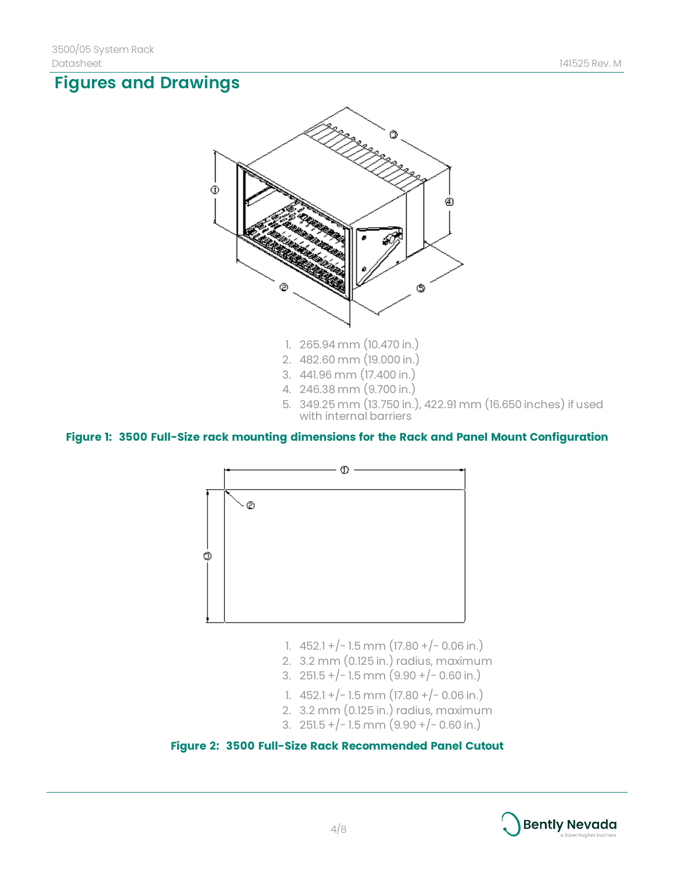# **Figures and Drawings**



- 1. 265.94 mm (10.470 in.)
- 2. 482.60 mm (19.000 in.)
- 3. 441.96 mm (17.400 in.)
- 4. 246.38 mm (9.700 in.)
- 5. 349.25 mm (13.750 in.), 422.91 mm (16.650 inches) if used with internal barriers

#### **Figure 1: 3500 Full-Size rack mounting dimensions for the Rack and Panel Mount Configuration**



- 1.  $452.1 + (-1.5)$  mm  $(17.80 + (-0.06)$  in.)
- 2. 3.2 mm (0.125 in.) radius, maximum
- 3. 251.5 +/-1.5 mm  $(9.90 + / 0.60$  in.)
- 1.  $452.1 + (-1.5)$  mm  $(17.80 + (-0.06)$  in.)
- 2. 3.2 mm (0.125 in.) radius, maximum
- 3. 251.5 +/-1.5 mm  $(9.90 + / 0.60$  in.)



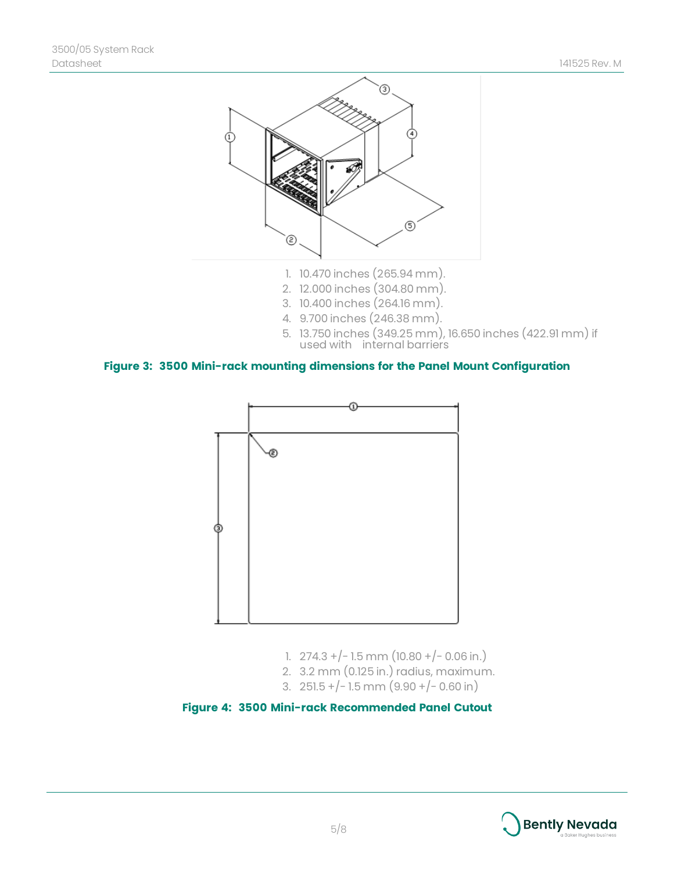

- 1. 10.470 inches (265.94 mm).
- 2. 12.000 inches (304.80 mm).
- 3. 10.400 inches (264.16 mm).
- 4. 9.700 inches (246.38 mm).
- 5. 13.750 inches (349.25 mm), 16.650 inches (422.91 mm) if used with internal barriers

**Figure 3: 3500 Mini-rack mounting dimensions for the Panel Mount Configuration**



- 1.  $274.3 + (-1.5)$  mm  $(10.80 + (-0.06)$  in.)
- 2. 3.2 mm (0.125 in.) radius, maximum.
- 3.  $251.5 + (-1.5)$  mm  $(9.90 + (-0.60)$  in



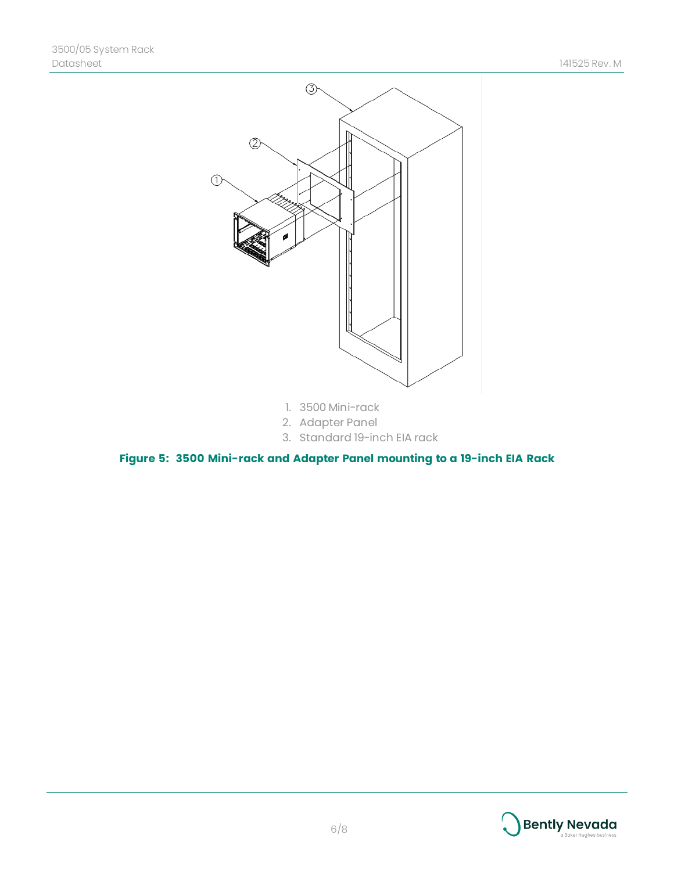

- 1. 3500 Mini-rack
- 2. Adapter Panel
- 3. Standard 19-inch EIA rack

**Figure 5: 3500 Mini-rack and Adapter Panel mounting to a 19-inch EIA Rack**

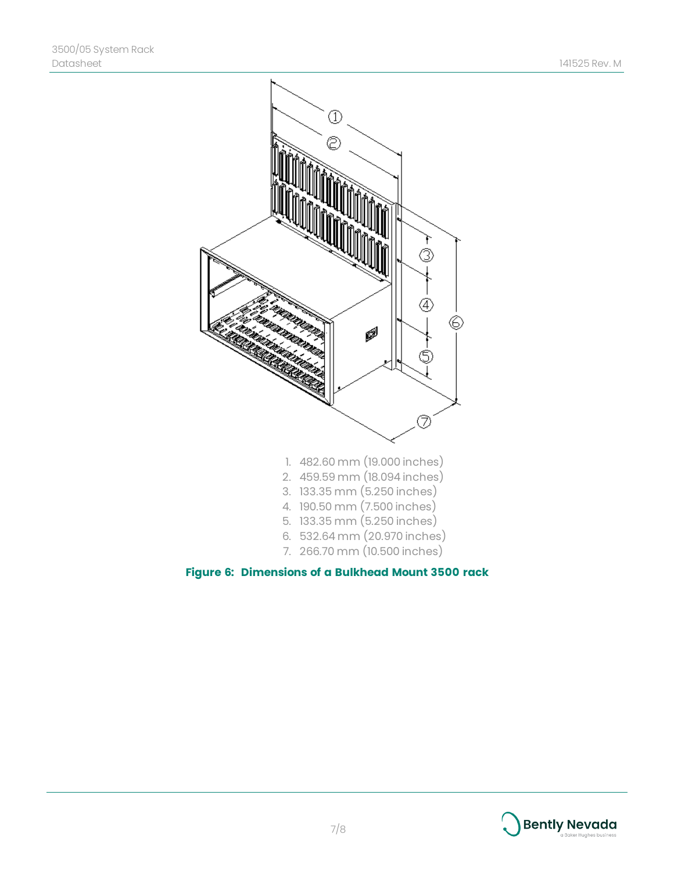

#### **Figure 6: Dimensions of a Bulkhead Mount 3500 rack**